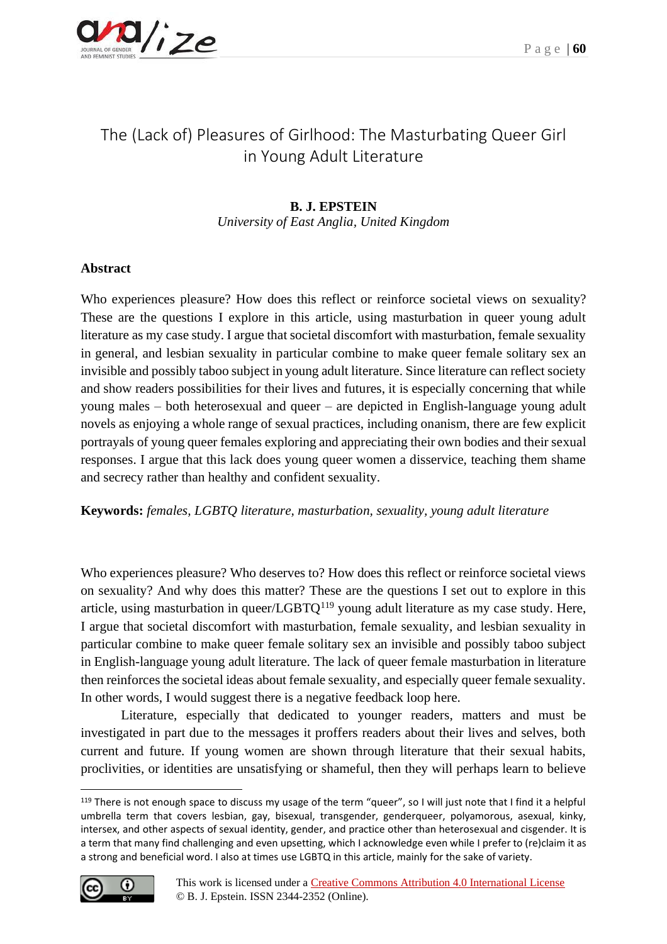

# The (Lack of) Pleasures of Girlhood: The Masturbating Queer Girl in Young Adult Literature

## **B. J. EPSTEIN**

*University of East Anglia, United Kingdom*

## **Abstract**

Who experiences pleasure? How does this reflect or reinforce societal views on sexuality? These are the questions I explore in this article, using masturbation in queer young adult literature as my case study. I argue that societal discomfort with masturbation, female sexuality in general, and lesbian sexuality in particular combine to make queer female solitary sex an invisible and possibly taboo subject in young adult literature. Since literature can reflect society and show readers possibilities for their lives and futures, it is especially concerning that while young males – both heterosexual and queer – are depicted in English-language young adult novels as enjoying a whole range of sexual practices, including onanism, there are few explicit portrayals of young queer females exploring and appreciating their own bodies and their sexual responses. I argue that this lack does young queer women a disservice, teaching them shame and secrecy rather than healthy and confident sexuality.

**Keywords:** *females, LGBTQ literature, masturbation, sexuality, young adult literature*

Who experiences pleasure? Who deserves to? How does this reflect or reinforce societal views on sexuality? And why does this matter? These are the questions I set out to explore in this article, using masturbation in queer/ $LGBTQ<sup>119</sup>$  young adult literature as my case study. Here, I argue that societal discomfort with masturbation, female sexuality, and lesbian sexuality in particular combine to make queer female solitary sex an invisible and possibly taboo subject in English-language young adult literature. The lack of queer female masturbation in literature then reinforces the societal ideas about female sexuality, and especially queer female sexuality. In other words, I would suggest there is a negative feedback loop here.

Literature, especially that dedicated to younger readers, matters and must be investigated in part due to the messages it proffers readers about their lives and selves, both current and future. If young women are shown through literature that their sexual habits, proclivities, or identities are unsatisfying or shameful, then they will perhaps learn to believe

<sup>&</sup>lt;sup>119</sup> There is not enough space to discuss my usage of the term "queer", so I will just note that I find it a helpful umbrella term that covers lesbian, gay, bisexual, transgender, genderqueer, polyamorous, asexual, kinky, intersex, and other aspects of sexual identity, gender, and practice other than heterosexual and cisgender. It is a term that many find challenging and even upsetting, which I acknowledge even while I prefer to (re)claim it as a strong and beneficial word. I also at times use LGBTQ in this article, mainly for the sake of variety.

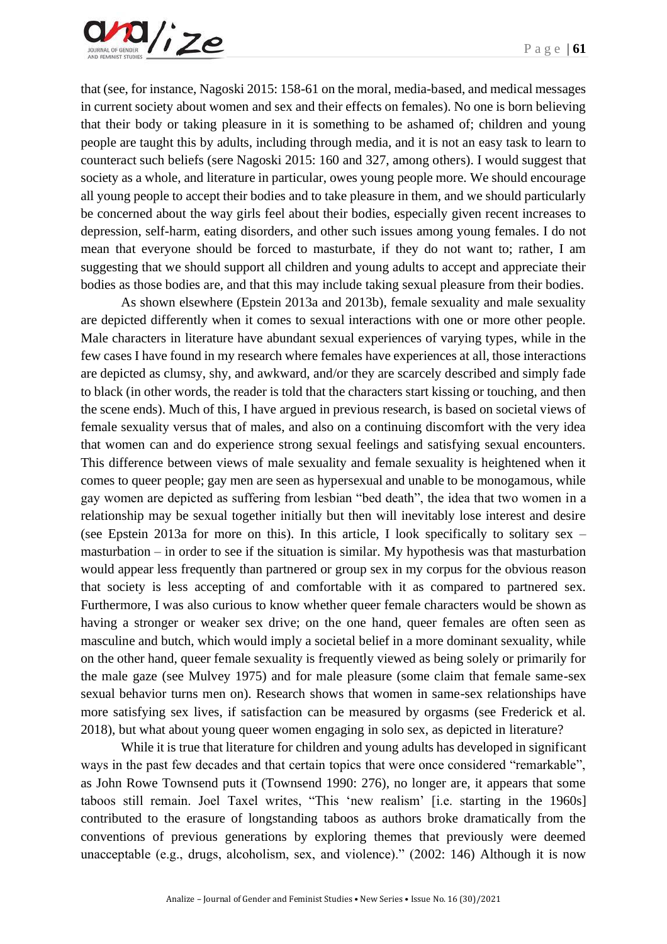

that (see, for instance, Nagoski 2015: 158-61 on the moral, media-based, and medical messages in current society about women and sex and their effects on females). No one is born believing that their body or taking pleasure in it is something to be ashamed of; children and young people are taught this by adults, including through media, and it is not an easy task to learn to counteract such beliefs (sere Nagoski 2015: 160 and 327, among others). I would suggest that society as a whole, and literature in particular, owes young people more. We should encourage all young people to accept their bodies and to take pleasure in them, and we should particularly be concerned about the way girls feel about their bodies, especially given recent increases to depression, self-harm, eating disorders, and other such issues among young females. I do not mean that everyone should be forced to masturbate, if they do not want to; rather, I am suggesting that we should support all children and young adults to accept and appreciate their bodies as those bodies are, and that this may include taking sexual pleasure from their bodies.

As shown elsewhere (Epstein 2013a and 2013b), female sexuality and male sexuality are depicted differently when it comes to sexual interactions with one or more other people. Male characters in literature have abundant sexual experiences of varying types, while in the few cases I have found in my research where females have experiences at all, those interactions are depicted as clumsy, shy, and awkward, and/or they are scarcely described and simply fade to black (in other words, the reader is told that the characters start kissing or touching, and then the scene ends). Much of this, I have argued in previous research, is based on societal views of female sexuality versus that of males, and also on a continuing discomfort with the very idea that women can and do experience strong sexual feelings and satisfying sexual encounters. This difference between views of male sexuality and female sexuality is heightened when it comes to queer people; gay men are seen as hypersexual and unable to be monogamous, while gay women are depicted as suffering from lesbian "bed death", the idea that two women in a relationship may be sexual together initially but then will inevitably lose interest and desire (see Epstein 2013a for more on this). In this article, I look specifically to solitary sex – masturbation – in order to see if the situation is similar. My hypothesis was that masturbation would appear less frequently than partnered or group sex in my corpus for the obvious reason that society is less accepting of and comfortable with it as compared to partnered sex. Furthermore, I was also curious to know whether queer female characters would be shown as having a stronger or weaker sex drive; on the one hand, queer females are often seen as masculine and butch, which would imply a societal belief in a more dominant sexuality, while on the other hand, queer female sexuality is frequently viewed as being solely or primarily for the male gaze (see Mulvey 1975) and for male pleasure (some claim that female same-sex sexual behavior turns men on). Research shows that women in same-sex relationships have more satisfying sex lives, if satisfaction can be measured by orgasms (see Frederick et al. 2018), but what about young queer women engaging in solo sex, as depicted in literature?

While it is true that literature for children and young adults has developed in significant ways in the past few decades and that certain topics that were once considered "remarkable", as John Rowe Townsend puts it (Townsend 1990: 276), no longer are, it appears that some taboos still remain. Joel Taxel writes, "This 'new realism' [i.e. starting in the 1960s] contributed to the erasure of longstanding taboos as authors broke dramatically from the conventions of previous generations by exploring themes that previously were deemed unacceptable (e.g., drugs, alcoholism, sex, and violence)." (2002: 146) Although it is now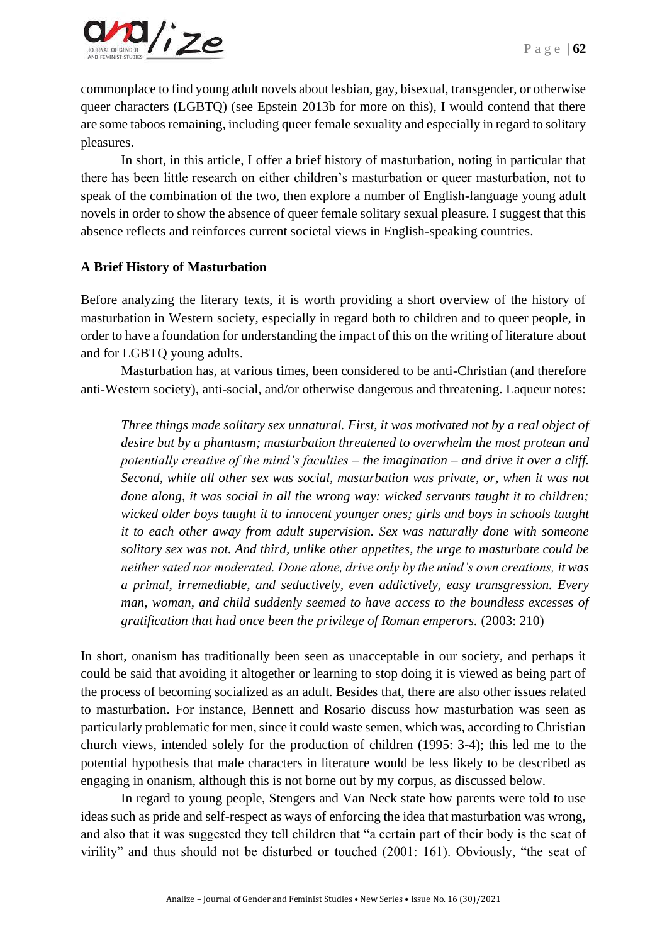

commonplace to find young adult novels about lesbian, gay, bisexual, transgender, or otherwise queer characters (LGBTQ) (see Epstein 2013b for more on this), I would contend that there are some taboos remaining, including queer female sexuality and especially in regard to solitary pleasures.

In short, in this article, I offer a brief history of masturbation, noting in particular that there has been little research on either children's masturbation or queer masturbation, not to speak of the combination of the two, then explore a number of English-language young adult novels in order to show the absence of queer female solitary sexual pleasure. I suggest that this absence reflects and reinforces current societal views in English-speaking countries.

#### **A Brief History of Masturbation**

Before analyzing the literary texts, it is worth providing a short overview of the history of masturbation in Western society, especially in regard both to children and to queer people, in order to have a foundation for understanding the impact of this on the writing of literature about and for LGBTQ young adults.

Masturbation has, at various times, been considered to be anti-Christian (and therefore anti-Western society), anti-social, and/or otherwise dangerous and threatening. Laqueur notes:

*Three things made solitary sex unnatural. First, it was motivated not by a real object of desire but by a phantasm; masturbation threatened to overwhelm the most protean and potentially creative of the mind's faculties – the imagination – and drive it over a cliff. Second, while all other sex was social, masturbation was private, or, when it was not done along, it was social in all the wrong way: wicked servants taught it to children; wicked older boys taught it to innocent younger ones; girls and boys in schools taught it to each other away from adult supervision. Sex was naturally done with someone solitary sex was not. And third, unlike other appetites, the urge to masturbate could be neither sated nor moderated. Done alone, drive only by the mind's own creations, it was a primal, irremediable, and seductively, even addictively, easy transgression. Every man, woman, and child suddenly seemed to have access to the boundless excesses of gratification that had once been the privilege of Roman emperors.* (2003: 210)

In short, onanism has traditionally been seen as unacceptable in our society, and perhaps it could be said that avoiding it altogether or learning to stop doing it is viewed as being part of the process of becoming socialized as an adult. Besides that, there are also other issues related to masturbation. For instance, Bennett and Rosario discuss how masturbation was seen as particularly problematic for men, since it could waste semen, which was, according to Christian church views, intended solely for the production of children (1995: 3-4); this led me to the potential hypothesis that male characters in literature would be less likely to be described as engaging in onanism, although this is not borne out by my corpus, as discussed below.

In regard to young people, Stengers and Van Neck state how parents were told to use ideas such as pride and self-respect as ways of enforcing the idea that masturbation was wrong, and also that it was suggested they tell children that "a certain part of their body is the seat of virility" and thus should not be disturbed or touched (2001: 161). Obviously, "the seat of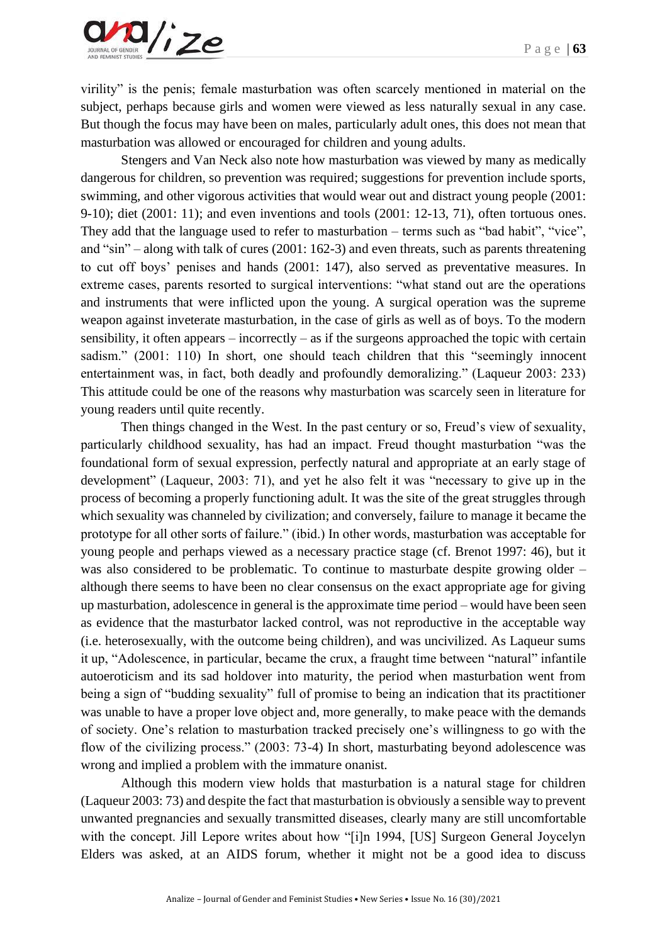virility" is the penis; female masturbation was often scarcely mentioned in material on the subject, perhaps because girls and women were viewed as less naturally sexual in any case. But though the focus may have been on males, particularly adult ones, this does not mean that masturbation was allowed or encouraged for children and young adults.

Stengers and Van Neck also note how masturbation was viewed by many as medically dangerous for children, so prevention was required; suggestions for prevention include sports, swimming, and other vigorous activities that would wear out and distract young people (2001: 9-10); diet (2001: 11); and even inventions and tools (2001: 12-13, 71), often tortuous ones. They add that the language used to refer to masturbation – terms such as "bad habit", "vice", and "sin" – along with talk of cures (2001: 162-3) and even threats, such as parents threatening to cut off boys' penises and hands (2001: 147), also served as preventative measures. In extreme cases, parents resorted to surgical interventions: "what stand out are the operations and instruments that were inflicted upon the young. A surgical operation was the supreme weapon against inveterate masturbation, in the case of girls as well as of boys. To the modern sensibility, it often appears – incorrectly – as if the surgeons approached the topic with certain sadism." (2001: 110) In short, one should teach children that this "seemingly innocent entertainment was, in fact, both deadly and profoundly demoralizing." (Laqueur 2003: 233) This attitude could be one of the reasons why masturbation was scarcely seen in literature for young readers until quite recently.

Then things changed in the West. In the past century or so, Freud's view of sexuality, particularly childhood sexuality, has had an impact. Freud thought masturbation "was the foundational form of sexual expression, perfectly natural and appropriate at an early stage of development" (Laqueur, 2003: 71), and yet he also felt it was "necessary to give up in the process of becoming a properly functioning adult. It was the site of the great struggles through which sexuality was channeled by civilization; and conversely, failure to manage it became the prototype for all other sorts of failure." (ibid.) In other words, masturbation was acceptable for young people and perhaps viewed as a necessary practice stage (cf. Brenot 1997: 46), but it was also considered to be problematic. To continue to masturbate despite growing older – although there seems to have been no clear consensus on the exact appropriate age for giving up masturbation, adolescence in general is the approximate time period – would have been seen as evidence that the masturbator lacked control, was not reproductive in the acceptable way (i.e. heterosexually, with the outcome being children), and was uncivilized. As Laqueur sums it up, "Adolescence, in particular, became the crux, a fraught time between "natural" infantile autoeroticism and its sad holdover into maturity, the period when masturbation went from being a sign of "budding sexuality" full of promise to being an indication that its practitioner was unable to have a proper love object and, more generally, to make peace with the demands of society. One's relation to masturbation tracked precisely one's willingness to go with the flow of the civilizing process." (2003: 73-4) In short, masturbating beyond adolescence was wrong and implied a problem with the immature onanist.

Although this modern view holds that masturbation is a natural stage for children (Laqueur 2003: 73) and despite the fact that masturbation is obviously a sensible way to prevent unwanted pregnancies and sexually transmitted diseases, clearly many are still uncomfortable with the concept. Jill Lepore writes about how "[i]n 1994, [US] Surgeon General Joycelyn Elders was asked, at an AIDS forum, whether it might not be a good idea to discuss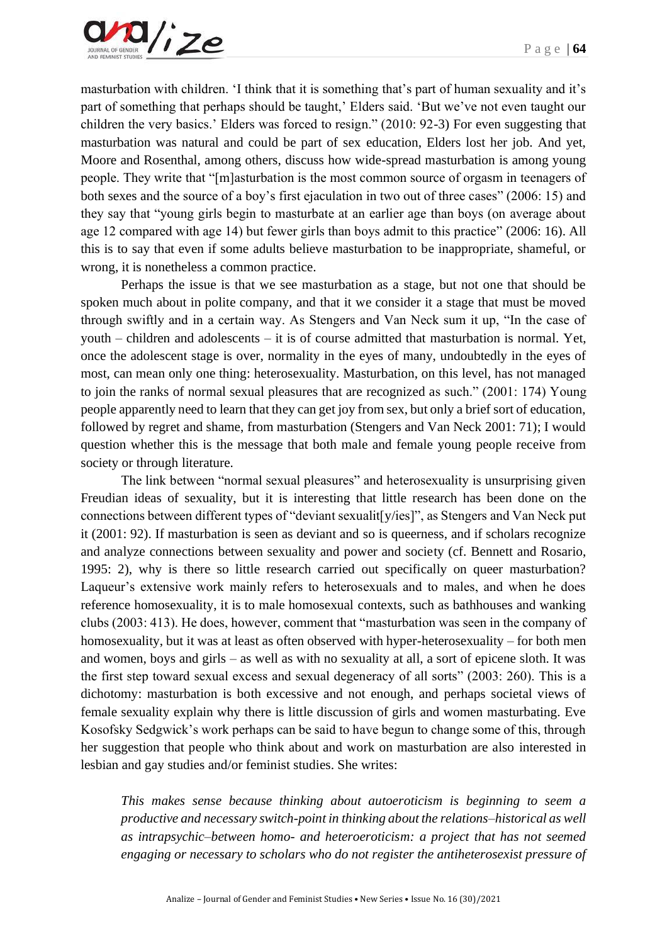

masturbation with children. 'I think that it is something that's part of human sexuality and it's part of something that perhaps should be taught,' Elders said. 'But we've not even taught our children the very basics.' Elders was forced to resign." (2010: 92-3) For even suggesting that masturbation was natural and could be part of sex education, Elders lost her job. And yet, Moore and Rosenthal, among others, discuss how wide-spread masturbation is among young people. They write that "[m]asturbation is the most common source of orgasm in teenagers of both sexes and the source of a boy's first ejaculation in two out of three cases" (2006: 15) and they say that "young girls begin to masturbate at an earlier age than boys (on average about age 12 compared with age 14) but fewer girls than boys admit to this practice" (2006: 16). All this is to say that even if some adults believe masturbation to be inappropriate, shameful, or wrong, it is nonetheless a common practice.

Perhaps the issue is that we see masturbation as a stage, but not one that should be spoken much about in polite company, and that it we consider it a stage that must be moved through swiftly and in a certain way. As Stengers and Van Neck sum it up, "In the case of youth – children and adolescents – it is of course admitted that masturbation is normal. Yet, once the adolescent stage is over, normality in the eyes of many, undoubtedly in the eyes of most, can mean only one thing: heterosexuality. Masturbation, on this level, has not managed to join the ranks of normal sexual pleasures that are recognized as such." (2001: 174) Young people apparently need to learn that they can get joy from sex, but only a brief sort of education, followed by regret and shame, from masturbation (Stengers and Van Neck 2001: 71); I would question whether this is the message that both male and female young people receive from society or through literature.

The link between "normal sexual pleasures" and heterosexuality is unsurprising given Freudian ideas of sexuality, but it is interesting that little research has been done on the connections between different types of "deviant sexualit[y/ies]", as Stengers and Van Neck put it (2001: 92). If masturbation is seen as deviant and so is queerness, and if scholars recognize and analyze connections between sexuality and power and society (cf. Bennett and Rosario, 1995: 2), why is there so little research carried out specifically on queer masturbation? Laqueur's extensive work mainly refers to heterosexuals and to males, and when he does reference homosexuality, it is to male homosexual contexts, such as bathhouses and wanking clubs (2003: 413). He does, however, comment that "masturbation was seen in the company of homosexuality, but it was at least as often observed with hyper-heterosexuality – for both men and women, boys and girls – as well as with no sexuality at all, a sort of epicene sloth. It was the first step toward sexual excess and sexual degeneracy of all sorts" (2003: 260). This is a dichotomy: masturbation is both excessive and not enough, and perhaps societal views of female sexuality explain why there is little discussion of girls and women masturbating. Eve Kosofsky Sedgwick's work perhaps can be said to have begun to change some of this, through her suggestion that people who think about and work on masturbation are also interested in lesbian and gay studies and/or feminist studies. She writes:

*This makes sense because thinking about autoeroticism is beginning to seem a productive and necessary switch-point in thinking about the relations–historical as well as intrapsychic–between homo- and heteroeroticism: a project that has not seemed engaging or necessary to scholars who do not register the antiheterosexist pressure of*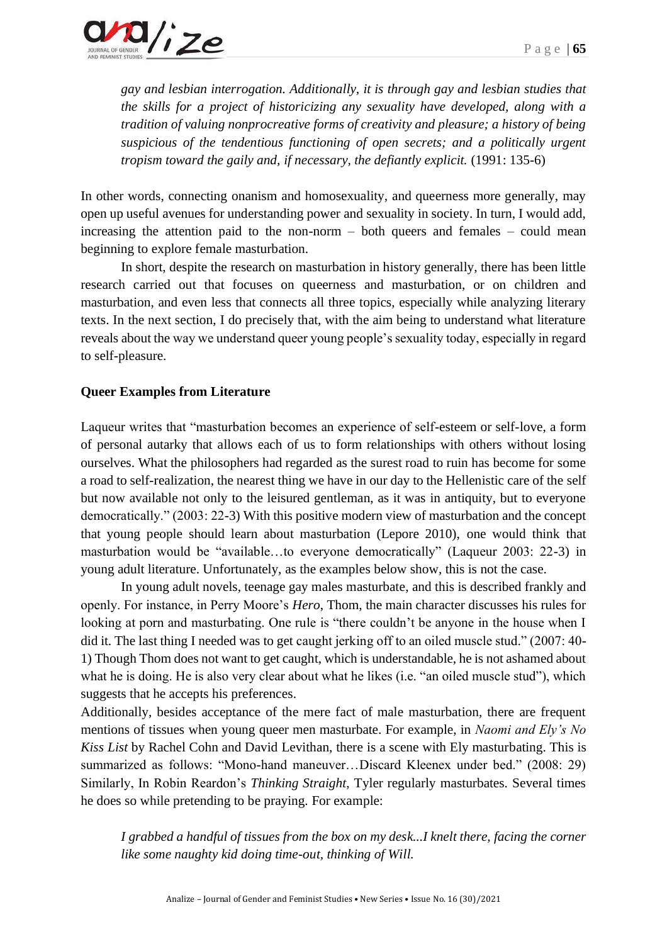*gay and lesbian interrogation. Additionally, it is through gay and lesbian studies that the skills for a project of historicizing any sexuality have developed, along with a tradition of valuing nonprocreative forms of creativity and pleasure; a history of being suspicious of the tendentious functioning of open secrets; and a politically urgent tropism toward the gaily and, if necessary, the defiantly explicit.* (1991: 135-6)

In other words, connecting onanism and homosexuality, and queerness more generally, may open up useful avenues for understanding power and sexuality in society. In turn, I would add, increasing the attention paid to the non-norm – both queers and females – could mean beginning to explore female masturbation.

In short, despite the research on masturbation in history generally, there has been little research carried out that focuses on queerness and masturbation, or on children and masturbation, and even less that connects all three topics, especially while analyzing literary texts. In the next section, I do precisely that, with the aim being to understand what literature reveals about the way we understand queer young people's sexuality today, especially in regard to self-pleasure.

## **Queer Examples from Literature**

Laqueur writes that "masturbation becomes an experience of self-esteem or self-love, a form of personal autarky that allows each of us to form relationships with others without losing ourselves. What the philosophers had regarded as the surest road to ruin has become for some a road to self-realization, the nearest thing we have in our day to the Hellenistic care of the self but now available not only to the leisured gentleman, as it was in antiquity, but to everyone democratically." (2003: 22-3) With this positive modern view of masturbation and the concept that young people should learn about masturbation (Lepore 2010), one would think that masturbation would be "available…to everyone democratically" (Laqueur 2003: 22-3) in young adult literature. Unfortunately, as the examples below show, this is not the case.

In young adult novels, teenage gay males masturbate, and this is described frankly and openly. For instance, in Perry Moore's *Hero*, Thom, the main character discusses his rules for looking at porn and masturbating. One rule is "there couldn't be anyone in the house when I did it. The last thing I needed was to get caught jerking off to an oiled muscle stud." (2007: 40- 1) Though Thom does not want to get caught, which is understandable, he is not ashamed about what he is doing. He is also very clear about what he likes (i.e. "an oiled muscle stud"), which suggests that he accepts his preferences.

Additionally, besides acceptance of the mere fact of male masturbation, there are frequent mentions of tissues when young queer men masturbate. For example, in *Naomi and Ely's No Kiss List* by Rachel Cohn and David Levithan, there is a scene with Ely masturbating. This is summarized as follows: "Mono-hand maneuver…Discard Kleenex under bed." (2008: 29) Similarly, In Robin Reardon's *Thinking Straight*, Tyler regularly masturbates. Several times he does so while pretending to be praying. For example:

*I grabbed a handful of tissues from the box on my desk...I knelt there, facing the corner like some naughty kid doing time-out, thinking of Will.*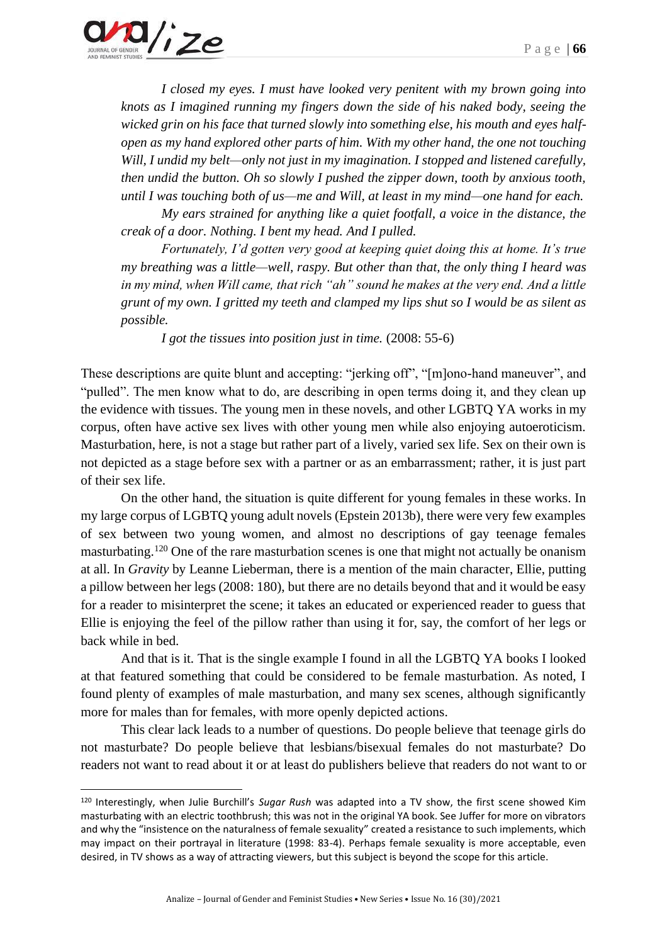

*I closed my eyes. I must have looked very penitent with my brown going into knots as I imagined running my fingers down the side of his naked body, seeing the wicked grin on his face that turned slowly into something else, his mouth and eyes halfopen as my hand explored other parts of him. With my other hand, the one not touching Will, I undid my belt—only not just in my imagination. I stopped and listened carefully, then undid the button. Oh so slowly I pushed the zipper down, tooth by anxious tooth, until I was touching both of us—me and Will, at least in my mind—one hand for each.*

*My ears strained for anything like a quiet footfall, a voice in the distance, the creak of a door. Nothing. I bent my head. And I pulled.*

*Fortunately, I'd gotten very good at keeping quiet doing this at home. It's true my breathing was a little—well, raspy. But other than that, the only thing I heard was in my mind, when Will came, that rich "ah" sound he makes at the very end. And a little grunt of my own. I gritted my teeth and clamped my lips shut so I would be as silent as possible.*

*I got the tissues into position just in time.* (2008: 55-6)

These descriptions are quite blunt and accepting: "jerking off", "[m]ono-hand maneuver", and "pulled". The men know what to do, are describing in open terms doing it, and they clean up the evidence with tissues. The young men in these novels, and other LGBTQ YA works in my corpus, often have active sex lives with other young men while also enjoying autoeroticism. Masturbation, here, is not a stage but rather part of a lively, varied sex life. Sex on their own is not depicted as a stage before sex with a partner or as an embarrassment; rather, it is just part of their sex life.

On the other hand, the situation is quite different for young females in these works. In my large corpus of LGBTQ young adult novels (Epstein 2013b), there were very few examples of sex between two young women, and almost no descriptions of gay teenage females masturbating.<sup>120</sup> One of the rare masturbation scenes is one that might not actually be onanism at all. In *Gravity* by Leanne Lieberman, there is a mention of the main character, Ellie, putting a pillow between her legs (2008: 180), but there are no details beyond that and it would be easy for a reader to misinterpret the scene; it takes an educated or experienced reader to guess that Ellie is enjoying the feel of the pillow rather than using it for, say, the comfort of her legs or back while in bed.

And that is it. That is the single example I found in all the LGBTQ YA books I looked at that featured something that could be considered to be female masturbation. As noted, I found plenty of examples of male masturbation, and many sex scenes, although significantly more for males than for females, with more openly depicted actions.

This clear lack leads to a number of questions. Do people believe that teenage girls do not masturbate? Do people believe that lesbians/bisexual females do not masturbate? Do readers not want to read about it or at least do publishers believe that readers do not want to or

<sup>120</sup> Interestingly, when Julie Burchill's *Sugar Rush* was adapted into a TV show, the first scene showed Kim masturbating with an electric toothbrush; this was not in the original YA book. See Juffer for more on vibrators and why the "insistence on the naturalness of female sexuality" created a resistance to such implements, which may impact on their portrayal in literature (1998: 83-4). Perhaps female sexuality is more acceptable, even desired, in TV shows as a way of attracting viewers, but this subject is beyond the scope for this article.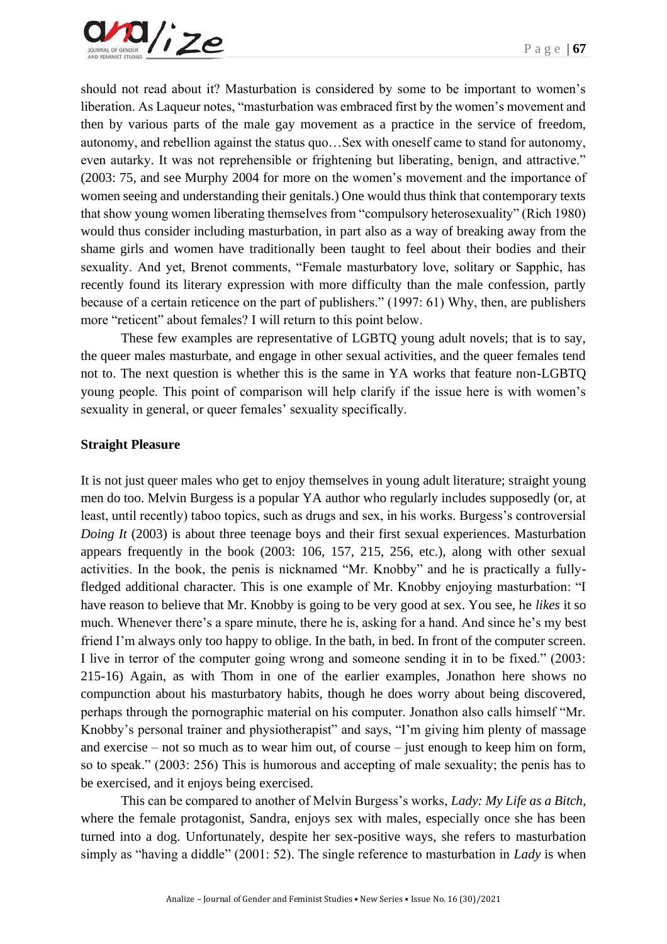

should not read about it? Masturbation is considered by some to be important to women's liberation. As Laqueur notes, "masturbation was embraced first by the women's movement and then by various parts of the male gay movement as a practice in the service of freedom, autonomy, and rebellion against the status quo…Sex with oneself came to stand for autonomy, even autarky. It was not reprehensible or frightening but liberating, benign, and attractive." (2003: 75, and see Murphy 2004 for more on the women's movement and the importance of women seeing and understanding their genitals.) One would thus think that contemporary texts that show young women liberating themselves from "compulsory heterosexuality" (Rich 1980) would thus consider including masturbation, in part also as a way of breaking away from the shame girls and women have traditionally been taught to feel about their bodies and their sexuality. And yet, Brenot comments, "Female masturbatory love, solitary or Sapphic, has recently found its literary expression with more difficulty than the male confession, partly because of a certain reticence on the part of publishers." (1997: 61) Why, then, are publishers more "reticent" about females? I will return to this point below.

These few examples are representative of LGBTQ young adult novels; that is to say, the queer males masturbate, and engage in other sexual activities, and the queer females tend not to. The next question is whether this is the same in YA works that feature non-LGBTQ young people. This point of comparison will help clarify if the issue here is with women's sexuality in general, or queer females' sexuality specifically.

#### **Straight Pleasure**

It is not just queer males who get to enjoy themselves in young adult literature; straight young men do too. Melvin Burgess is a popular YA author who regularly includes supposedly (or, at least, until recently) taboo topics, such as drugs and sex, in his works. Burgess's controversial *Doing It* (2003) is about three teenage boys and their first sexual experiences. Masturbation appears frequently in the book (2003: 106, 157, 215, 256, etc.), along with other sexual activities. In the book, the penis is nicknamed "Mr. Knobby" and he is practically a fullyfledged additional character. This is one example of Mr. Knobby enjoying masturbation: "I have reason to believe that Mr. Knobby is going to be very good at sex. You see, he *likes* it so much. Whenever there's a spare minute, there he is, asking for a hand. And since he's my best friend I'm always only too happy to oblige. In the bath, in bed. In front of the computer screen. I live in terror of the computer going wrong and someone sending it in to be fixed." (2003: 215-16) Again, as with Thom in one of the earlier examples, Jonathon here shows no compunction about his masturbatory habits, though he does worry about being discovered, perhaps through the pornographic material on his computer. Jonathon also calls himself "Mr. Knobby's personal trainer and physiotherapist" and says, "I'm giving him plenty of massage and exercise – not so much as to wear him out, of course – just enough to keep him on form, so to speak." (2003: 256) This is humorous and accepting of male sexuality; the penis has to be exercised, and it enjoys being exercised.

This can be compared to another of Melvin Burgess's works, *Lady: My Life as a Bitch*, where the female protagonist, Sandra, enjoys sex with males, especially once she has been turned into a dog. Unfortunately, despite her sex-positive ways, she refers to masturbation simply as "having a diddle" (2001: 52). The single reference to masturbation in *Lady* is when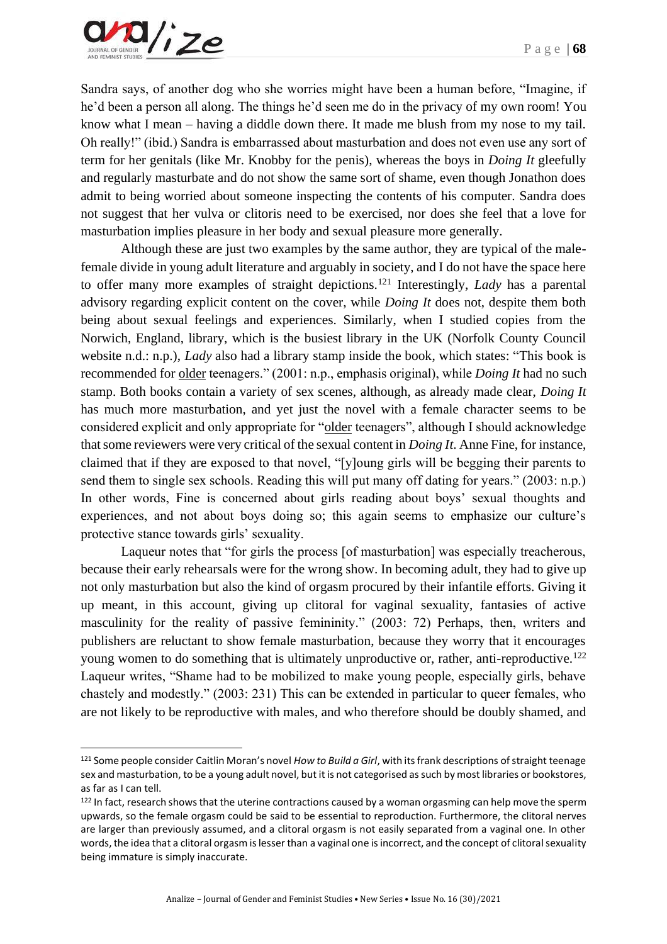

Sandra says, of another dog who she worries might have been a human before, "Imagine, if he'd been a person all along. The things he'd seen me do in the privacy of my own room! You know what I mean – having a diddle down there. It made me blush from my nose to my tail. Oh really!" (ibid.) Sandra is embarrassed about masturbation and does not even use any sort of term for her genitals (like Mr. Knobby for the penis), whereas the boys in *Doing It* gleefully and regularly masturbate and do not show the same sort of shame, even though Jonathon does admit to being worried about someone inspecting the contents of his computer. Sandra does not suggest that her vulva or clitoris need to be exercised, nor does she feel that a love for masturbation implies pleasure in her body and sexual pleasure more generally.

Although these are just two examples by the same author, they are typical of the malefemale divide in young adult literature and arguably in society, and I do not have the space here to offer many more examples of straight depictions.<sup>121</sup> Interestingly, *Lady* has a parental advisory regarding explicit content on the cover, while *Doing It* does not, despite them both being about sexual feelings and experiences. Similarly, when I studied copies from the Norwich, England, library, which is the busiest library in the UK (Norfolk County Council website n.d.: n.p.), *Lady* also had a library stamp inside the book, which states: "This book is recommended for older teenagers." (2001: n.p., emphasis original), while *Doing It* had no such stamp. Both books contain a variety of sex scenes, although, as already made clear, *Doing It* has much more masturbation, and yet just the novel with a female character seems to be considered explicit and only appropriate for "older teenagers", although I should acknowledge that some reviewers were very critical of the sexual content in *Doing It*. Anne Fine, for instance, claimed that if they are exposed to that novel, "[y]oung girls will be begging their parents to send them to single sex schools. Reading this will put many off dating for years." (2003: n.p.) In other words, Fine is concerned about girls reading about boys' sexual thoughts and experiences, and not about boys doing so; this again seems to emphasize our culture's protective stance towards girls' sexuality.

Laqueur notes that "for girls the process [of masturbation] was especially treacherous, because their early rehearsals were for the wrong show. In becoming adult, they had to give up not only masturbation but also the kind of orgasm procured by their infantile efforts. Giving it up meant, in this account, giving up clitoral for vaginal sexuality, fantasies of active masculinity for the reality of passive femininity." (2003: 72) Perhaps, then, writers and publishers are reluctant to show female masturbation, because they worry that it encourages young women to do something that is ultimately unproductive or, rather, anti-reproductive.<sup>122</sup> Laqueur writes, "Shame had to be mobilized to make young people, especially girls, behave chastely and modestly." (2003: 231) This can be extended in particular to queer females, who are not likely to be reproductive with males, and who therefore should be doubly shamed, and

<sup>121</sup> Some people consider Caitlin Moran's novel *How to Build a Girl*, with its frank descriptions of straight teenage sex and masturbation, to be a young adult novel, but it is not categorised as such by most libraries or bookstores, as far as I can tell.

<sup>&</sup>lt;sup>122</sup> In fact, research shows that the uterine contractions caused by a woman orgasming can help move the sperm upwards, so the female orgasm could be said to be essential to reproduction. Furthermore, the clitoral nerves are larger than previously assumed, and a clitoral orgasm is not easily separated from a vaginal one. In other words, the idea that a clitoral orgasm is lesser than a vaginal one is incorrect, and the concept of clitoral sexuality being immature is simply inaccurate.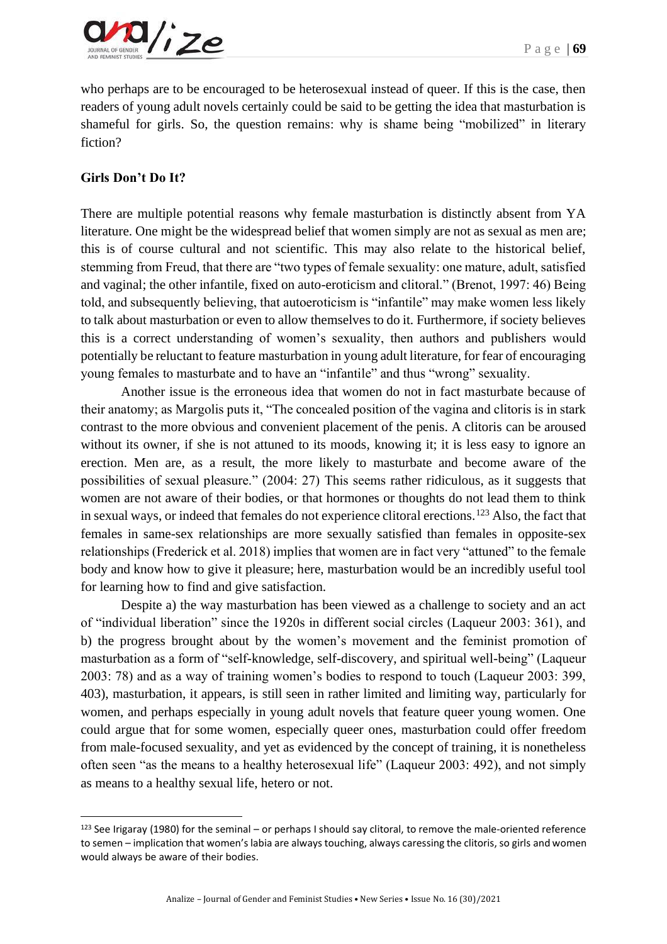

who perhaps are to be encouraged to be heterosexual instead of queer. If this is the case, then readers of young adult novels certainly could be said to be getting the idea that masturbation is shameful for girls. So, the question remains: why is shame being "mobilized" in literary fiction?

#### **Girls Don't Do It?**

There are multiple potential reasons why female masturbation is distinctly absent from YA literature. One might be the widespread belief that women simply are not as sexual as men are; this is of course cultural and not scientific. This may also relate to the historical belief, stemming from Freud, that there are "two types of female sexuality: one mature, adult, satisfied and vaginal; the other infantile, fixed on auto-eroticism and clitoral." (Brenot, 1997: 46) Being told, and subsequently believing, that autoeroticism is "infantile" may make women less likely to talk about masturbation or even to allow themselves to do it. Furthermore, if society believes this is a correct understanding of women's sexuality, then authors and publishers would potentially be reluctant to feature masturbation in young adult literature, for fear of encouraging young females to masturbate and to have an "infantile" and thus "wrong" sexuality.

Another issue is the erroneous idea that women do not in fact masturbate because of their anatomy; as Margolis puts it, "The concealed position of the vagina and clitoris is in stark contrast to the more obvious and convenient placement of the penis. A clitoris can be aroused without its owner, if she is not attuned to its moods, knowing it; it is less easy to ignore an erection. Men are, as a result, the more likely to masturbate and become aware of the possibilities of sexual pleasure." (2004: 27) This seems rather ridiculous, as it suggests that women are not aware of their bodies, or that hormones or thoughts do not lead them to think in sexual ways, or indeed that females do not experience clitoral erections.<sup>123</sup> Also, the fact that females in same-sex relationships are more sexually satisfied than females in opposite-sex relationships (Frederick et al. 2018) implies that women are in fact very "attuned" to the female body and know how to give it pleasure; here, masturbation would be an incredibly useful tool for learning how to find and give satisfaction.

Despite a) the way masturbation has been viewed as a challenge to society and an act of "individual liberation" since the 1920s in different social circles (Laqueur 2003: 361), and b) the progress brought about by the women's movement and the feminist promotion of masturbation as a form of "self-knowledge, self-discovery, and spiritual well-being" (Laqueur 2003: 78) and as a way of training women's bodies to respond to touch (Laqueur 2003: 399, 403), masturbation, it appears, is still seen in rather limited and limiting way, particularly for women, and perhaps especially in young adult novels that feature queer young women. One could argue that for some women, especially queer ones, masturbation could offer freedom from male-focused sexuality, and yet as evidenced by the concept of training, it is nonetheless often seen "as the means to a healthy heterosexual life" (Laqueur 2003: 492), and not simply as means to a healthy sexual life, hetero or not.

 $123$  See Irigaray (1980) for the seminal – or perhaps I should say clitoral, to remove the male-oriented reference to semen – implication that women's labia are always touching, always caressing the clitoris, so girls and women would always be aware of their bodies.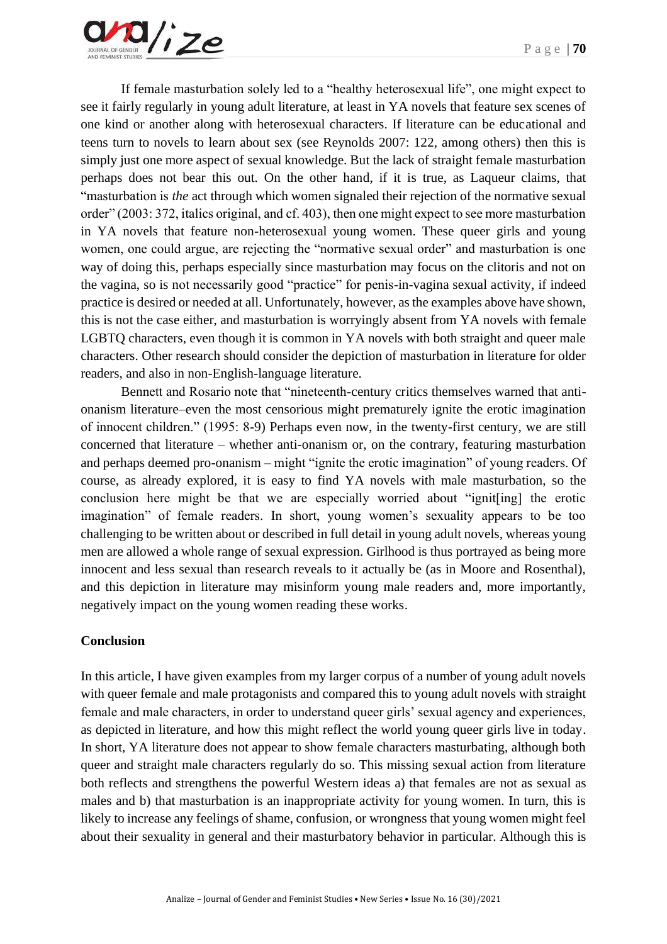If female masturbation solely led to a "healthy heterosexual life", one might expect to see it fairly regularly in young adult literature, at least in YA novels that feature sex scenes of one kind or another along with heterosexual characters. If literature can be educational and teens turn to novels to learn about sex (see Reynolds 2007: 122, among others) then this is simply just one more aspect of sexual knowledge. But the lack of straight female masturbation perhaps does not bear this out. On the other hand, if it is true, as Laqueur claims, that "masturbation is *the* act through which women signaled their rejection of the normative sexual order" (2003: 372, italics original, and cf. 403), then one might expect to see more masturbation in YA novels that feature non-heterosexual young women. These queer girls and young women, one could argue, are rejecting the "normative sexual order" and masturbation is one way of doing this, perhaps especially since masturbation may focus on the clitoris and not on the vagina, so is not necessarily good "practice" for penis-in-vagina sexual activity, if indeed practice is desired or needed at all. Unfortunately, however, as the examples above have shown, this is not the case either, and masturbation is worryingly absent from YA novels with female LGBTQ characters, even though it is common in YA novels with both straight and queer male characters. Other research should consider the depiction of masturbation in literature for older readers, and also in non-English-language literature.

Bennett and Rosario note that "nineteenth-century critics themselves warned that antionanism literature–even the most censorious might prematurely ignite the erotic imagination of innocent children." (1995: 8-9) Perhaps even now, in the twenty-first century, we are still concerned that literature – whether anti-onanism or, on the contrary, featuring masturbation and perhaps deemed pro-onanism – might "ignite the erotic imagination" of young readers. Of course, as already explored, it is easy to find YA novels with male masturbation, so the conclusion here might be that we are especially worried about "ignit[ing] the erotic imagination" of female readers. In short, young women's sexuality appears to be too challenging to be written about or described in full detail in young adult novels, whereas young men are allowed a whole range of sexual expression. Girlhood is thus portrayed as being more innocent and less sexual than research reveals to it actually be (as in Moore and Rosenthal), and this depiction in literature may misinform young male readers and, more importantly, negatively impact on the young women reading these works.

#### **Conclusion**

In this article, I have given examples from my larger corpus of a number of young adult novels with queer female and male protagonists and compared this to young adult novels with straight female and male characters, in order to understand queer girls' sexual agency and experiences, as depicted in literature, and how this might reflect the world young queer girls live in today. In short, YA literature does not appear to show female characters masturbating, although both queer and straight male characters regularly do so. This missing sexual action from literature both reflects and strengthens the powerful Western ideas a) that females are not as sexual as males and b) that masturbation is an inappropriate activity for young women. In turn, this is likely to increase any feelings of shame, confusion, or wrongness that young women might feel about their sexuality in general and their masturbatory behavior in particular. Although this is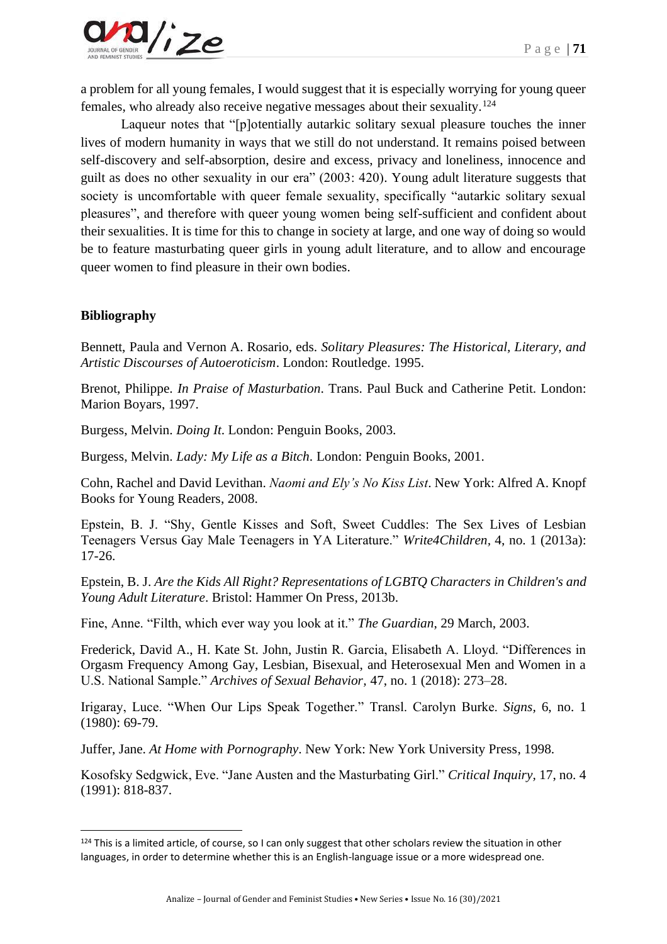

a problem for all young females, I would suggest that it is especially worrying for young queer females, who already also receive negative messages about their sexuality.<sup>124</sup>

Laqueur notes that "[p]otentially autarkic solitary sexual pleasure touches the inner lives of modern humanity in ways that we still do not understand. It remains poised between self-discovery and self-absorption, desire and excess, privacy and loneliness, innocence and guilt as does no other sexuality in our era" (2003: 420). Young adult literature suggests that society is uncomfortable with queer female sexuality, specifically "autarkic solitary sexual pleasures", and therefore with queer young women being self-sufficient and confident about their sexualities. It is time for this to change in society at large, and one way of doing so would be to feature masturbating queer girls in young adult literature, and to allow and encourage queer women to find pleasure in their own bodies.

#### **Bibliography**

Bennett, Paula and Vernon A. Rosario, eds. *Solitary Pleasures: The Historical, Literary, and Artistic Discourses of Autoeroticism*. London: Routledge. 1995.

Brenot, Philippe. *In Praise of Masturbation*. Trans. Paul Buck and Catherine Petit. London: Marion Boyars, 1997.

Burgess, Melvin. *Doing It*. London: Penguin Books, 2003.

Burgess, Melvin. *Lady: My Life as a Bitch*. London: Penguin Books, 2001.

Cohn, Rachel and David Levithan. *Naomi and Ely's No Kiss List*. New York: Alfred A. Knopf Books for Young Readers, 2008.

Epstein, B. J. "Shy, Gentle Kisses and Soft, Sweet Cuddles: The Sex Lives of Lesbian Teenagers Versus Gay Male Teenagers in YA Literature." *Write4Children,* 4, no. 1 (2013a): 17-26.

Epstein, B. J. *Are the Kids All Right? Representations of LGBTQ Characters in Children's and Young Adult Literature*. Bristol: Hammer On Press, 2013b.

Fine, Anne. "Filth, which ever way you look at it." *The Guardian*, 29 March, 2003.

Frederick, David A., H. Kate St. John, Justin R. Garcia, Elisabeth A. Lloyd. "Differences in Orgasm Frequency Among Gay, Lesbian, Bisexual, and Heterosexual Men and Women in a U.S. National Sample." *Archives of Sexual Behavior,* 47, no. 1 (2018): 273–28.

Irigaray, Luce. "When Our Lips Speak Together." Transl. Carolyn Burke. *Signs,* 6, no. 1 (1980): 69-79.

Juffer, Jane. *At Home with Pornography*. New York: New York University Press, 1998.

Kosofsky Sedgwick, Eve. "Jane Austen and the Masturbating Girl." *Critical Inquiry,* 17, no. 4 (1991): 818-837.

 $124$  This is a limited article, of course, so I can only suggest that other scholars review the situation in other languages, in order to determine whether this is an English-language issue or a more widespread one.